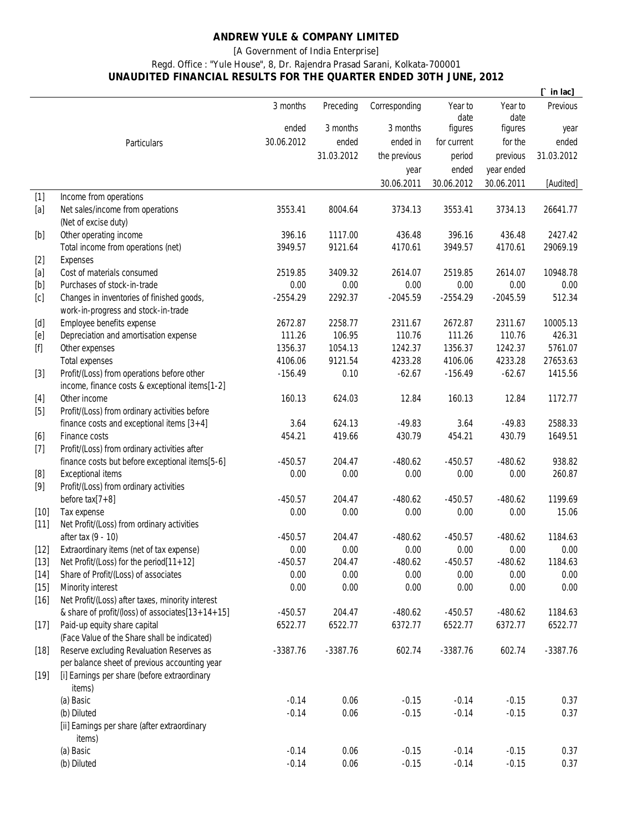## **ANDREW YULE & COMPANY LIMITED**

## **[A Government of India Enterprise]**

## **Regd. Office : "Yule House", 8, Dr. Rajendra Prasad Sarani, Kolkata-700001 UNAUDITED FINANCIAL RESULTS FOR THE QUARTER ENDED 30TH JUNE, 2012**

|                                                                                                                                                                                                                                                                                                                                                                                                                                                                                                                                                                                                                                                     |                                                                                                 |            |            |               |             |            | in lac]            |
|-----------------------------------------------------------------------------------------------------------------------------------------------------------------------------------------------------------------------------------------------------------------------------------------------------------------------------------------------------------------------------------------------------------------------------------------------------------------------------------------------------------------------------------------------------------------------------------------------------------------------------------------------------|-------------------------------------------------------------------------------------------------|------------|------------|---------------|-------------|------------|--------------------|
|                                                                                                                                                                                                                                                                                                                                                                                                                                                                                                                                                                                                                                                     |                                                                                                 | 3 months   | Preceding  | Corresponding | Year to     | Year to    | Previous           |
|                                                                                                                                                                                                                                                                                                                                                                                                                                                                                                                                                                                                                                                     |                                                                                                 |            |            |               | date        | date       |                    |
|                                                                                                                                                                                                                                                                                                                                                                                                                                                                                                                                                                                                                                                     |                                                                                                 | ended      | 3 months   | 3 months      | figures     | figures    | year               |
|                                                                                                                                                                                                                                                                                                                                                                                                                                                                                                                                                                                                                                                     | Particulars                                                                                     | 30.06.2012 | ended      | ended in      | for current | for the    | ended              |
|                                                                                                                                                                                                                                                                                                                                                                                                                                                                                                                                                                                                                                                     |                                                                                                 |            | 31.03.2012 | the previous  | period      | previous   | 31.03.2012         |
|                                                                                                                                                                                                                                                                                                                                                                                                                                                                                                                                                                                                                                                     |                                                                                                 |            |            | year          | ended       | year ended |                    |
|                                                                                                                                                                                                                                                                                                                                                                                                                                                                                                                                                                                                                                                     |                                                                                                 |            |            | 30.06.2011    | 30.06.2012  | 30.06.2011 | [Audited]          |
| $[1]$                                                                                                                                                                                                                                                                                                                                                                                                                                                                                                                                                                                                                                               | Income from operations                                                                          |            |            |               |             |            |                    |
| [a]                                                                                                                                                                                                                                                                                                                                                                                                                                                                                                                                                                                                                                                 | Net sales/income from operations                                                                | 3553.41    | 8004.64    | 3734.13       | 3553.41     | 3734.13    | 26641.77           |
|                                                                                                                                                                                                                                                                                                                                                                                                                                                                                                                                                                                                                                                     | (Net of excise duty)                                                                            |            |            |               |             |            |                    |
| [b]                                                                                                                                                                                                                                                                                                                                                                                                                                                                                                                                                                                                                                                 | Other operating income                                                                          | 396.16     | 1117.00    | 436.48        | 396.16      | 436.48     | 2427.42            |
|                                                                                                                                                                                                                                                                                                                                                                                                                                                                                                                                                                                                                                                     | Total income from operations (net)                                                              | 3949.57    | 9121.64    | 4170.61       | 3949.57     | 4170.61    | 29069.19           |
| $[2]$                                                                                                                                                                                                                                                                                                                                                                                                                                                                                                                                                                                                                                               | <b>Expenses</b>                                                                                 |            |            |               |             |            |                    |
| [a]                                                                                                                                                                                                                                                                                                                                                                                                                                                                                                                                                                                                                                                 | Cost of materials consumed                                                                      | 2519.85    | 3409.32    | 2614.07       | 2519.85     | 2614.07    | 10948.78           |
| $[b] % \begin{center} % \includegraphics[width=\linewidth]{imagesSupplemental_3.png} % \end{center} % \caption { % Our method can be used for the use of the image. % } % \label{fig:example} %$                                                                                                                                                                                                                                                                                                                                                                                                                                                    | Purchases of stock-in-trade                                                                     | 0.00       | 0.00       | 0.00          | 0.00        | 0.00       | 0.00               |
| [c]                                                                                                                                                                                                                                                                                                                                                                                                                                                                                                                                                                                                                                                 | Changes in inventories of finished goods,                                                       | $-2554.29$ | 2292.37    | $-2045.59$    | $-2554.29$  | $-2045.59$ | 512.34             |
|                                                                                                                                                                                                                                                                                                                                                                                                                                                                                                                                                                                                                                                     | work-in-progress and stock-in-trade                                                             |            |            |               |             |            |                    |
| [d]                                                                                                                                                                                                                                                                                                                                                                                                                                                                                                                                                                                                                                                 | Employee benefits expense                                                                       | 2672.87    | 2258.77    | 2311.67       | 2672.87     | 2311.67    | 10005.13           |
| [e]                                                                                                                                                                                                                                                                                                                                                                                                                                                                                                                                                                                                                                                 | Depreciation and amortisation expense                                                           | 111.26     | 106.95     | 110.76        | 111.26      | 110.76     | 426.31             |
| $[f] % \begin{center} % \includegraphics[width=\linewidth]{imagesSupplemental_3.png} % \end{center} % \caption { % Our method can be used for the use of the image. % Note that the \emph{DefNet} and the \emph{DefNet} is used for the image. % Note that the \emph{DefNet} is used for the image. % Note that the \emph{DefNet} is used for the \emph{DefNet} and the \emph{DefNet} is used for the \emph{DefNet} and the \emph{DefNet} is used for the \emph{DefNet} and the \emph{DefNet} is used for the \emph{DefNet} and the \emph{DefNet} is used for the \emph{DefNet} and the \emph{DefNet} is used for the \emph{DefNet} and the \emph{$ | Other expenses                                                                                  | 1356.37    | 1054.13    | 1242.37       | 1356.37     | 1242.37    | 5761.07            |
|                                                                                                                                                                                                                                                                                                                                                                                                                                                                                                                                                                                                                                                     | <b>Total expenses</b>                                                                           | 4106.06    | 9121.54    | 4233.28       | 4106.06     | 4233.28    | 27653.63           |
| $[3]$                                                                                                                                                                                                                                                                                                                                                                                                                                                                                                                                                                                                                                               | Profit/(Loss) from operations before other                                                      | $-156.49$  | 0.10       | $-62.67$      | $-156.49$   | $-62.67$   | 1415.56            |
|                                                                                                                                                                                                                                                                                                                                                                                                                                                                                                                                                                                                                                                     | income, finance costs & exceptional items[1-2]                                                  |            |            |               |             |            |                    |
| $[4]$                                                                                                                                                                                                                                                                                                                                                                                                                                                                                                                                                                                                                                               | Other income                                                                                    | 160.13     | 624.03     | 12.84         | 160.13      | 12.84      | 1172.77            |
| $[5]$                                                                                                                                                                                                                                                                                                                                                                                                                                                                                                                                                                                                                                               | Profit/(Loss) from ordinary activities before                                                   |            |            |               |             |            |                    |
|                                                                                                                                                                                                                                                                                                                                                                                                                                                                                                                                                                                                                                                     | finance costs and exceptional items $[3+4]$                                                     | 3.64       | 624.13     | $-49.83$      | 3.64        | $-49.83$   | 2588.33<br>1649.51 |
| [6]                                                                                                                                                                                                                                                                                                                                                                                                                                                                                                                                                                                                                                                 | Finance costs                                                                                   | 454.21     | 419.66     | 430.79        | 454.21      | 430.79     |                    |
| $[7]$                                                                                                                                                                                                                                                                                                                                                                                                                                                                                                                                                                                                                                               | Profit/(Loss) from ordinary activities after<br>finance costs but before exceptional items[5-6] | $-450.57$  | 204.47     | $-480.62$     | $-450.57$   | $-480.62$  | 938.82             |
| [8]                                                                                                                                                                                                                                                                                                                                                                                                                                                                                                                                                                                                                                                 | <b>Exceptional items</b>                                                                        | 0.00       | 0.00       | 0.00          | 0.00        | 0.00       | 260.87             |
| [9]                                                                                                                                                                                                                                                                                                                                                                                                                                                                                                                                                                                                                                                 | Profit/(Loss) from ordinary activities                                                          |            |            |               |             |            |                    |
|                                                                                                                                                                                                                                                                                                                                                                                                                                                                                                                                                                                                                                                     | before $tax[7+8]$                                                                               | $-450.57$  | 204.47     | $-480.62$     | $-450.57$   | $-480.62$  | 1199.69            |
| $[10]$                                                                                                                                                                                                                                                                                                                                                                                                                                                                                                                                                                                                                                              | Tax expense                                                                                     | 0.00       | 0.00       | 0.00          | 0.00        | 0.00       | 15.06              |
| $[11]$                                                                                                                                                                                                                                                                                                                                                                                                                                                                                                                                                                                                                                              | Net Profit/(Loss) from ordinary activities                                                      |            |            |               |             |            |                    |
|                                                                                                                                                                                                                                                                                                                                                                                                                                                                                                                                                                                                                                                     | after tax (9 - 10)                                                                              | $-450.57$  | 204.47     | $-480.62$     | $-450.57$   | $-480.62$  | 1184.63            |
| $[12]$                                                                                                                                                                                                                                                                                                                                                                                                                                                                                                                                                                                                                                              | Extraordinary items (net of tax expense)                                                        | 0.00       | 0.00       | 0.00          | 0.00        | 0.00       | 0.00               |
| $[13]$                                                                                                                                                                                                                                                                                                                                                                                                                                                                                                                                                                                                                                              | Net Profit/(Loss) for the period[11+12]                                                         | $-450.57$  | 204.47     | $-480.62$     | $-450.57$   | $-480.62$  | 1184.63            |
| $[14]$                                                                                                                                                                                                                                                                                                                                                                                                                                                                                                                                                                                                                                              | Share of Profit/(Loss) of associates                                                            | 0.00       | 0.00       | 0.00          | 0.00        | 0.00       | 0.00               |
| $[15]$                                                                                                                                                                                                                                                                                                                                                                                                                                                                                                                                                                                                                                              | <b>Minority interest</b>                                                                        | 0.00       | 0.00       | 0.00          | 0.00        | 0.00       | 0.00               |
| $[16]$                                                                                                                                                                                                                                                                                                                                                                                                                                                                                                                                                                                                                                              | Net Profit/(Loss) after taxes, minority interest                                                |            |            |               |             |            |                    |
|                                                                                                                                                                                                                                                                                                                                                                                                                                                                                                                                                                                                                                                     | & share of profit/(loss) of associates[13+14+15]                                                | $-450.57$  | 204.47     | $-480.62$     | $-450.57$   | $-480.62$  | 1184.63            |
| $[17]$                                                                                                                                                                                                                                                                                                                                                                                                                                                                                                                                                                                                                                              | Paid-up equity share capital                                                                    | 6522.77    | 6522.77    | 6372.77       | 6522.77     | 6372.77    | 6522.77            |
|                                                                                                                                                                                                                                                                                                                                                                                                                                                                                                                                                                                                                                                     | (Face Value of the Share shall be indicated)                                                    |            |            |               |             |            |                    |
| $[18]$                                                                                                                                                                                                                                                                                                                                                                                                                                                                                                                                                                                                                                              | Reserve excluding Revaluation Reserves as                                                       | $-3387.76$ | $-3387.76$ | 602.74        | $-3387.76$  | 602.74     | $-3387.76$         |
|                                                                                                                                                                                                                                                                                                                                                                                                                                                                                                                                                                                                                                                     | per balance sheet of previous accounting year                                                   |            |            |               |             |            |                    |
| $[19]$                                                                                                                                                                                                                                                                                                                                                                                                                                                                                                                                                                                                                                              | [i] Earnings per share (before extraordinary                                                    |            |            |               |             |            |                    |
|                                                                                                                                                                                                                                                                                                                                                                                                                                                                                                                                                                                                                                                     | items)                                                                                          |            |            |               |             |            |                    |
|                                                                                                                                                                                                                                                                                                                                                                                                                                                                                                                                                                                                                                                     | (a) Basic                                                                                       | $-0.14$    | 0.06       | $-0.15$       | $-0.14$     | $-0.15$    | 0.37               |
|                                                                                                                                                                                                                                                                                                                                                                                                                                                                                                                                                                                                                                                     | (b) Diluted                                                                                     | $-0.14$    | 0.06       | $-0.15$       | $-0.14$     | $-0.15$    | 0.37               |
|                                                                                                                                                                                                                                                                                                                                                                                                                                                                                                                                                                                                                                                     | [ii] Earnings per share (after extraordinary                                                    |            |            |               |             |            |                    |
|                                                                                                                                                                                                                                                                                                                                                                                                                                                                                                                                                                                                                                                     | items)                                                                                          |            |            |               |             |            |                    |
|                                                                                                                                                                                                                                                                                                                                                                                                                                                                                                                                                                                                                                                     | (a) Basic                                                                                       | $-0.14$    | 0.06       | $-0.15$       | $-0.14$     | $-0.15$    | 0.37               |
|                                                                                                                                                                                                                                                                                                                                                                                                                                                                                                                                                                                                                                                     | (b) Diluted                                                                                     | $-0.14$    | 0.06       | $-0.15$       | $-0.14$     | $-0.15$    | 0.37               |